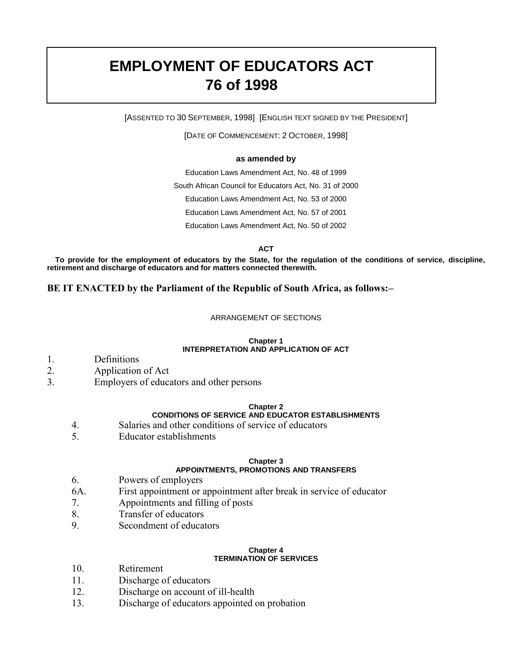# **EMPLOYMENT OF EDUCATORS ACT 76 of 1998**

[ASSENTED TO 30 SEPTEMBER, 1998] [ENGLISH TEXT SIGNED BY THE PRESIDENT]

[DATE OF COMMENCEMENT: 2 OCTOBER, 1998]

### **as amended by**

Education Laws Amendment Act, No. 48 of 1999 South African Council for Educators Act, No. 31 of 2000 Education Laws Amendment Act, No. 53 of 2000 Education Laws Amendment Act, No. 57 of 2001 Education Laws Amendment Act, No. 50 of 2002

**ACT**

**To provide for the employment of educators by the State, for the regulation of the conditions of service, discipline, retirement and discharge of educators and for matters connected therewith.**

**BE IT ENACTED by the Parliament of the Republic of South Africa, as follows:–**

### ARRANGEMENT OF SECTIONS

### **Chapter 1 INTERPRETATION AND APPLICATION OF ACT**

- 1. Definitions
- 2. Application of Act
- 3. Employers of educators and other persons

### **Chapter 2**

### **CONDITIONS OF SERVICE AND EDUCATOR ESTABLISHMENTS**

- 4. Salaries and other conditions of service of educators
- 5. Educator establishments

#### **Chapter 3 APPOINTMENTS, PROMOTIONS AND TRANSFERS**

- 6. Powers of employers
- 6A. First appointment or appointment after break in service of educator
- 7. Appointments and filling of posts
- 8. Transfer of educators
- 9. Secondment of educators

### **Chapter 4 TERMINATION OF SERVICES**

- 10. Retirement
- 11. Discharge of educators
- 12. Discharge on account of ill-health
- 13. Discharge of educators appointed on probation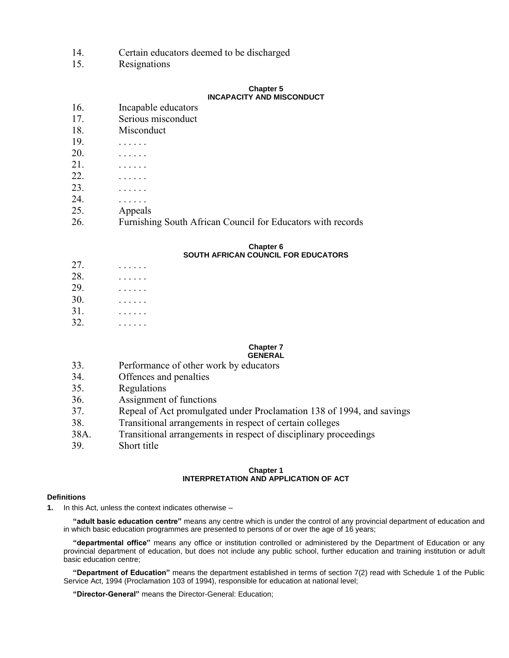- 14. Certain educators deemed to be discharged
- 15. Resignations

### **Chapter 5 INCAPACITY AND MISCONDUCT**

- 16. Incapable educators
- 17. Serious misconduct
- 18. Misconduct
- 19. . . . . . .
- 20. . . . . . .
- 21. . . . . . .
- 22. . . . . . .
- 23. . . . . . .
- 24. . . . . . .
- 25. Appeals
- 26. Furnishing South African Council for Educators with records

#### **Chapter 6 SOUTH AFRICAN COUNCIL FOR EDUCATORS**

| 27.           |  |  |  |  |
|---------------|--|--|--|--|
| 28.           |  |  |  |  |
| 29.           |  |  |  |  |
| 30.           |  |  |  |  |
| 31.           |  |  |  |  |
| $\mathcal{D}$ |  |  |  |  |

32. . . . . . .

#### **Chapter 7 GENERAL**

- 33. Performance of other work by educators
- 34. Offences and penalties
- 35. Regulations
- 36. Assignment of functions
- 37. Repeal of Act promulgated under Proclamation 138 of 1994, and savings
- 38. Transitional arrangements in respect of certain colleges
- 38A. Transitional arrangements in respect of disciplinary proceedings
- 39. Short title

### **Chapter 1 INTERPRETATION AND APPLICATION OF ACT**

#### **Definitions**

**1.** In this Act, unless the context indicates otherwise –

**"adult basic education centre"** means any centre which is under the control of any provincial department of education and in which basic education programmes are presented to persons of or over the age of 16 years;

**"departmental office"** means any office or institution controlled or administered by the Department of Education or any provincial department of education, but does not include any public school, further education and training institution or adult basic education centre;

**"Department of Education"** means the department established in terms of section 7(2) read with Schedule 1 of the Public Service Act, 1994 (Proclamation 103 of 1994), responsible for education at national level;

**"Director-General"** means the Director-General: Education;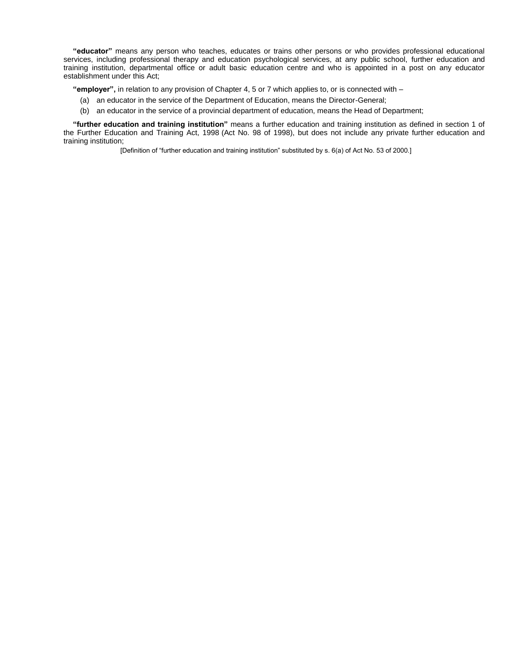**"educator"** means any person who teaches, educates or trains other persons or who provides professional educational services, including professional therapy and education psychological services, at any public school, further education and training institution, departmental office or adult basic education centre and who is appointed in a post on any educator establishment under this Act;

**"employer",** in relation to any provision of Chapter 4, 5 or 7 which applies to, or is connected with –

- (a) an educator in the service of the Department of Education, means the Director-General;
- (b) an educator in the service of a provincial department of education, means the Head of Department;

**"further education and training institution"** means a further education and training institution as defined in section 1 of the Further Education and Training Act, 1998 (Act No. 98 of 1998), but does not include any private further education and training institution;

[Definition of "further education and training institution" substituted by s. 6(a) of Act No. 53 of 2000.]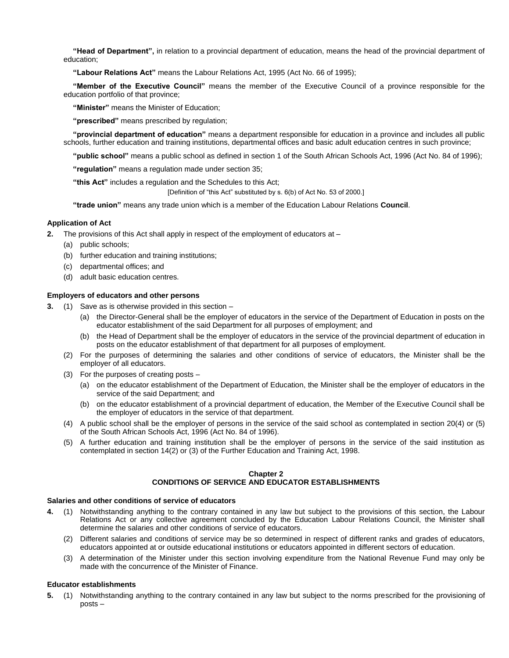**"Head of Department",** in relation to a provincial department of education, means the head of the provincial department of education;

**"Labour Relations Act"** means the Labour Relations Act, 1995 (Act No. 66 of 1995);

**"Member of the Executive Council"** means the member of the Executive Council of a province responsible for the education portfolio of that province;

**"Minister"** means the Minister of Education;

**"prescribed"** means prescribed by regulation;

**"provincial department of education"** means a department responsible for education in a province and includes all public schools, further education and training institutions, departmental offices and basic adult education centres in such province;

**"public school"** means a public school as defined in section 1 of the South African Schools Act, 1996 (Act No. 84 of 1996);

**"regulation"** means a regulation made under section 35;

**"this Act"** includes a regulation and the Schedules to this Act;

[Definition of "this Act" substituted by s. 6(b) of Act No. 53 of 2000.]

**"trade union"** means any trade union which is a member of the Education Labour Relations **Council**.

#### **Application of Act**

- **2.** The provisions of this Act shall apply in respect of the employment of educators at
	- (a) public schools;
	- (b) further education and training institutions;
	- (c) departmental offices; and
	- (d) adult basic education centres.

#### **Employers of educators and other persons**

- **3.** (1) Save as is otherwise provided in this section
	- (a) the Director-General shall be the employer of educators in the service of the Department of Education in posts on the educator establishment of the said Department for all purposes of employment; and
	- (b) the Head of Department shall be the employer of educators in the service of the provincial department of education in posts on the educator establishment of that department for all purposes of employment.
	- (2) For the purposes of determining the salaries and other conditions of service of educators, the Minister shall be the employer of all educators.
	- (3) For the purposes of creating posts
		- (a) on the educator establishment of the Department of Education, the Minister shall be the employer of educators in the service of the said Department; and
		- (b) on the educator establishment of a provincial department of education, the Member of the Executive Council shall be the employer of educators in the service of that department.
	- (4) A public school shall be the employer of persons in the service of the said school as contemplated in section 20(4) or (5) of the South African Schools Act, 1996 (Act No. 84 of 1996).
	- (5) A further education and training institution shall be the employer of persons in the service of the said institution as contemplated in section 14(2) or (3) of the Further Education and Training Act, 1998.

### **Chapter 2 CONDITIONS OF SERVICE AND EDUCATOR ESTABLISHMENTS**

#### **Salaries and other conditions of service of educators**

- **4.** (1) Notwithstanding anything to the contrary contained in any law but subject to the provisions of this section, the Labour Relations Act or any collective agreement concluded by the Education Labour Relations Council, the Minister shall determine the salaries and other conditions of service of educators.
	- (2) Different salaries and conditions of service may be so determined in respect of different ranks and grades of educators, educators appointed at or outside educational institutions or educators appointed in different sectors of education.
	- (3) A determination of the Minister under this section involving expenditure from the National Revenue Fund may only be made with the concurrence of the Minister of Finance.

### **Educator establishments**

**5.** (1) Notwithstanding anything to the contrary contained in any law but subject to the norms prescribed for the provisioning of posts –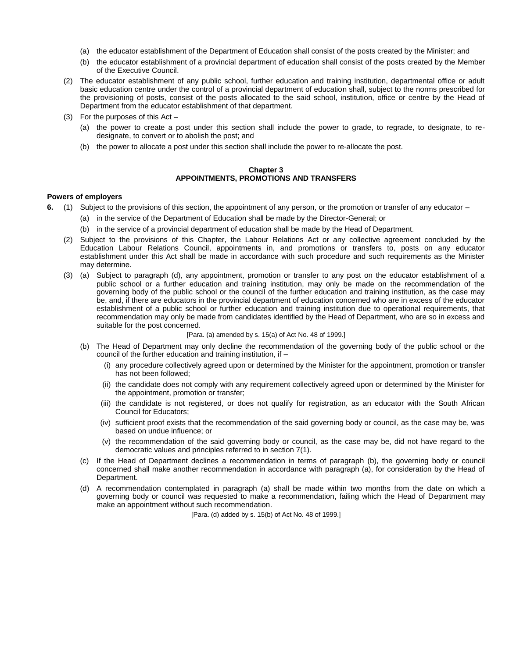- (a) the educator establishment of the Department of Education shall consist of the posts created by the Minister; and
- (b) the educator establishment of a provincial department of education shall consist of the posts created by the Member of the Executive Council.
- (2) The educator establishment of any public school, further education and training institution, departmental office or adult basic education centre under the control of a provincial department of education shall, subject to the norms prescribed for the provisioning of posts, consist of the posts allocated to the said school, institution, office or centre by the Head of Department from the educator establishment of that department.
- (3) For the purposes of this Act
	- (a) the power to create a post under this section shall include the power to grade, to regrade, to designate, to redesignate, to convert or to abolish the post; and
	- (b) the power to allocate a post under this section shall include the power to re-allocate the post.

#### **Chapter 3 APPOINTMENTS, PROMOTIONS AND TRANSFERS**

#### **Powers of employers**

- **6.** (1) Subject to the provisions of this section, the appointment of any person, or the promotion or transfer of any educator
	- (a) in the service of the Department of Education shall be made by the Director-General; or
	- (b) in the service of a provincial department of education shall be made by the Head of Department.
	- (2) Subject to the provisions of this Chapter, the Labour Relations Act or any collective agreement concluded by the Education Labour Relations Council, appointments in, and promotions or transfers to, posts on any educator establishment under this Act shall be made in accordance with such procedure and such requirements as the Minister may determine.
	- (3) (a) Subject to paragraph (d), any appointment, promotion or transfer to any post on the educator establishment of a public school or a further education and training institution, may only be made on the recommendation of the governing body of the public school or the council of the further education and training institution, as the case may be, and, if there are educators in the provincial department of education concerned who are in excess of the educator establishment of a public school or further education and training institution due to operational requirements, that recommendation may only be made from candidates identified by the Head of Department, who are so in excess and suitable for the post concerned.

#### [Para. (a) amended by s. 15(a) of Act No. 48 of 1999.]

- (b) The Head of Department may only decline the recommendation of the governing body of the public school or the council of the further education and training institution, if –
	- (i) any procedure collectively agreed upon or determined by the Minister for the appointment, promotion or transfer has not been followed;
	- (ii) the candidate does not comply with any requirement collectively agreed upon or determined by the Minister for the appointment, promotion or transfer;
	- (iii) the candidate is not registered, or does not qualify for registration, as an educator with the South African Council for Educators;
	- (iv) sufficient proof exists that the recommendation of the said governing body or council, as the case may be, was based on undue influence; or
	- (v) the recommendation of the said governing body or council, as the case may be, did not have regard to the democratic values and principles referred to in section 7(1).
- (c) If the Head of Department declines a recommendation in terms of paragraph (b), the governing body or council concerned shall make another recommendation in accordance with paragraph (a), for consideration by the Head of Department.
- (d) A recommendation contemplated in paragraph (a) shall be made within two months from the date on which a governing body or council was requested to make a recommendation, failing which the Head of Department may make an appointment without such recommendation.

[Para. (d) added by s. 15(b) of Act No. 48 of 1999.]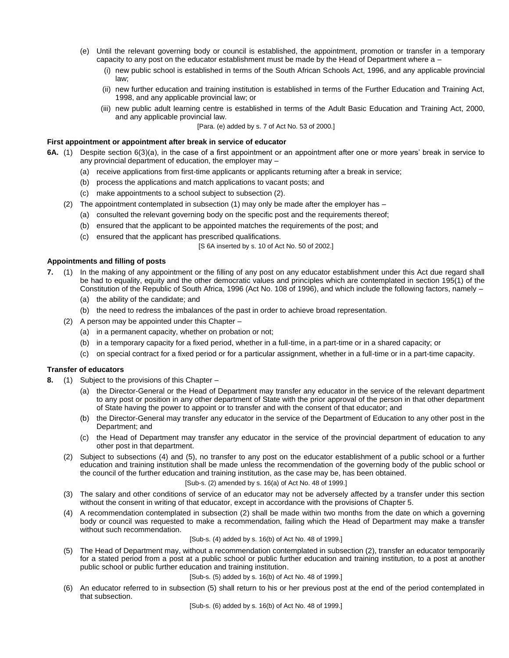- (e) Until the relevant governing body or council is established, the appointment, promotion or transfer in a temporary capacity to any post on the educator establishment must be made by the Head of Department where a –
	- (i) new public school is established in terms of the South African Schools Act, 1996, and any applicable provincial law;
	- (ii) new further education and training institution is established in terms of the Further Education and Training Act, 1998, and any applicable provincial law; or
	- (iii) new public adult learning centre is established in terms of the Adult Basic Education and Training Act, 2000, and any applicable provincial law.

[Para. (e) added by s. 7 of Act No. 53 of 2000.]

#### **First appointment or appointment after break in service of educator**

- **6A.** (1) Despite section 6(3)(a), in the case of a first appointment or an appointment after one or more years' break in service to any provincial department of education, the employer may –
	- (a) receive applications from first-time applicants or applicants returning after a break in service;
	- (b) process the applications and match applications to vacant posts; and
	- (c) make appointments to a school subject to subsection (2).
	- (2) The appointment contemplated in subsection (1) may only be made after the employer has
		- (a) consulted the relevant governing body on the specific post and the requirements thereof;
		- (b) ensured that the applicant to be appointed matches the requirements of the post; and
		- (c) ensured that the applicant has prescribed qualifications.

[S 6A inserted by s. 10 of Act No. 50 of 2002.]

#### **Appointments and filling of posts**

- **7.** (1) In the making of any appointment or the filling of any post on any educator establishment under this Act due regard shall be had to equality, equity and the other democratic values and principles which are contemplated in section 195(1) of the Constitution of the Republic of South Africa, 1996 (Act No. 108 of 1996), and which include the following factors, namely –
	- (a) the ability of the candidate; and
	- (b) the need to redress the imbalances of the past in order to achieve broad representation.
	- (2) A person may be appointed under this Chapter
		- (a) in a permanent capacity, whether on probation or not;
		- (b) in a temporary capacity for a fixed period, whether in a full-time, in a part-time or in a shared capacity; or
		- (c) on special contract for a fixed period or for a particular assignment, whether in a full-time or in a part-time capacity.

### **Transfer of educators**

- **8.** (1) Subject to the provisions of this Chapter
	- (a) the Director-General or the Head of Department may transfer any educator in the service of the relevant department to any post or position in any other department of State with the prior approval of the person in that other department of State having the power to appoint or to transfer and with the consent of that educator; and
	- (b) the Director-General may transfer any educator in the service of the Department of Education to any other post in the Department; and
	- (c) the Head of Department may transfer any educator in the service of the provincial department of education to any other post in that department.
	- (2) Subject to subsections (4) and (5), no transfer to any post on the educator establishment of a public school or a further education and training institution shall be made unless the recommendation of the governing body of the public school or the council of the further education and training institution, as the case may be, has been obtained.

#### [Sub-s. (2) amended by s. 16(a) of Act No. 48 of 1999.]

- (3) The salary and other conditions of service of an educator may not be adversely affected by a transfer under this section without the consent in writing of that educator, except in accordance with the provisions of Chapter 5.
- (4) A recommendation contemplated in subsection (2) shall be made within two months from the date on which a governing body or council was requested to make a recommendation, failing which the Head of Department may make a transfer without such recommendation.

#### [Sub-s. (4) added by s. 16(b) of Act No. 48 of 1999.]

(5) The Head of Department may, without a recommendation contemplated in subsection (2), transfer an educator temporarily for a stated period from a post at a public school or public further education and training institution, to a post at another public school or public further education and training institution.

#### [Sub-s. (5) added by s. 16(b) of Act No. 48 of 1999.]

(6) An educator referred to in subsection (5) shall return to his or her previous post at the end of the period contemplated in that subsection.

[Sub-s. (6) added by s. 16(b) of Act No. 48 of 1999.]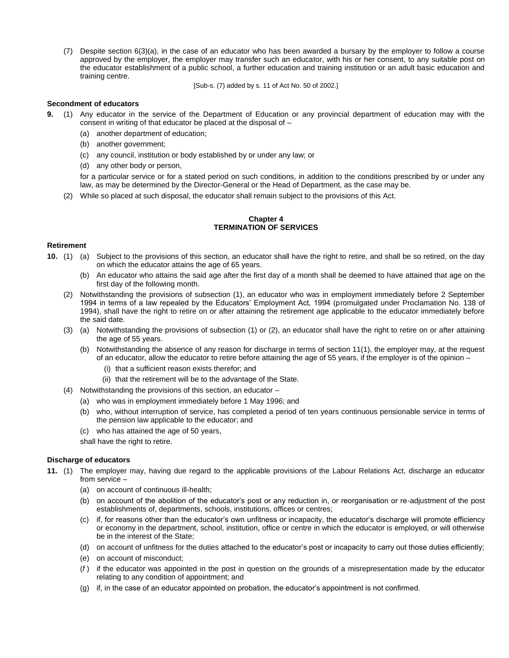(7) Despite section 6(3)(a), in the case of an educator who has been awarded a bursary by the employer to follow a course approved by the employer, the employer may transfer such an educator, with his or her consent, to any suitable post on the educator establishment of a public school, a further education and training institution or an adult basic education and training centre.

[Sub-s. (7) added by s. 11 of Act No. 50 of 2002.]

#### **Secondment of educators**

- **9.** (1) Any educator in the service of the Department of Education or any provincial department of education may with the consent in writing of that educator be placed at the disposal of –
	- (a) another department of education;
	- (b) another government;
	- (c) any council, institution or body established by or under any law; or
	- (d) any other body or person,

for a particular service or for a stated period on such conditions, in addition to the conditions prescribed by or under any law, as may be determined by the Director-General or the Head of Department, as the case may be.

(2) While so placed at such disposal, the educator shall remain subject to the provisions of this Act.

#### **Chapter 4 TERMINATION OF SERVICES**

#### **Retirement**

- **10.** (1) (a) Subject to the provisions of this section, an educator shall have the right to retire, and shall be so retired, on the day on which the educator attains the age of 65 years.
	- (b) An educator who attains the said age after the first day of a month shall be deemed to have attained that age on the first day of the following month.
	- (2) Notwithstanding the provisions of subsection (1), an educator who was in employment immediately before 2 September 1994 in terms of a law repealed by the Educators' Employment Act, 1994 (promulgated under Proclamation No. 138 of 1994), shall have the right to retire on or after attaining the retirement age applicable to the educator immediately before the said date.
	- (3) (a) Notwithstanding the provisions of subsection (1) or (2), an educator shall have the right to retire on or after attaining the age of 55 years.
		- (b) Notwithstanding the absence of any reason for discharge in terms of section 11(1), the employer may, at the request of an educator, allow the educator to retire before attaining the age of 55 years, if the employer is of the opinion –
			- (i) that a sufficient reason exists therefor; and
			- (ii) that the retirement will be to the advantage of the State.
	- (4) Notwithstanding the provisions of this section, an educator
		- (a) who was in employment immediately before 1 May 1996; and
		- (b) who, without interruption of service, has completed a period of ten years continuous pensionable service in terms of the pension law applicable to the educator; and
		- (c) who has attained the age of 50 years,

shall have the right to retire.

#### **Discharge of educators**

- **11.** (1) The employer may, having due regard to the applicable provisions of the Labour Relations Act, discharge an educator from service –
	- (a) on account of continuous ill-health;
	- (b) on account of the abolition of the educator's post or any reduction in, or reorganisation or re-adjustment of the post establishments of, departments, schools, institutions, offices or centres;
	- (c) if, for reasons other than the educator's own unfitness or incapacity, the educator's discharge will promote efficiency or economy in the department, school, institution, office or centre in which the educator is employed, or will otherwise be in the interest of the State;
	- (d) on account of unfitness for the duties attached to the educator's post or incapacity to carry out those duties efficiently;
	- (e) on account of misconduct;
	- (*f* ) if the educator was appointed in the post in question on the grounds of a misrepresentation made by the educator relating to any condition of appointment; and
	- (g) if, in the case of an educator appointed on probation, the educator's appointment is not confirmed.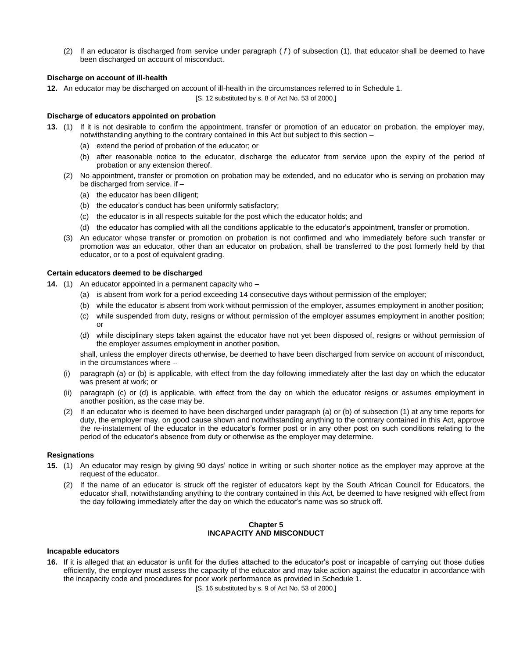(2) If an educator is discharged from service under paragraph ( *f* ) of subsection (1), that educator shall be deemed to have been discharged on account of misconduct.

#### **Discharge on account of ill-health**

**12.** An educator may be discharged on account of ill-health in the circumstances referred to in Schedule 1.

[S. 12 substituted by s. 8 of Act No. 53 of 2000.]

#### **Discharge of educators appointed on probation**

- **13.** (1) If it is not desirable to confirm the appointment, transfer or promotion of an educator on probation, the employer may, notwithstanding anything to the contrary contained in this Act but subject to this section –
	- (a) extend the period of probation of the educator; or
	- (b) after reasonable notice to the educator, discharge the educator from service upon the expiry of the period of probation or any extension thereof.
	- (2) No appointment, transfer or promotion on probation may be extended, and no educator who is serving on probation may be discharged from service, if –
		- (a) the educator has been diligent;
		- (b) the educator's conduct has been uniformly satisfactory;
		- (c) the educator is in all respects suitable for the post which the educator holds; and
		- (d) the educator has complied with all the conditions applicable to the educator's appointment, transfer or promotion.
	- (3) An educator whose transfer or promotion on probation is not confirmed and who immediately before such transfer or promotion was an educator, other than an educator on probation, shall be transferred to the post formerly held by that educator, or to a post of equivalent grading.

#### **Certain educators deemed to be discharged**

- **14.** (1) An educator appointed in a permanent capacity who
	- (a) is absent from work for a period exceeding 14 consecutive days without permission of the employer;
	- (b) while the educator is absent from work without permission of the employer, assumes employment in another position;
	- (c) while suspended from duty, resigns or without permission of the employer assumes employment in another position; or
	- (d) while disciplinary steps taken against the educator have not yet been disposed of, resigns or without permission of the employer assumes employment in another position,

shall, unless the employer directs otherwise, be deemed to have been discharged from service on account of misconduct, in the circumstances where –

- (i) paragraph (a) or (b) is applicable, with effect from the day following immediately after the last day on which the educator was present at work; or
- (ii) paragraph (c) or (d) is applicable, with effect from the day on which the educator resigns or assumes employment in another position, as the case may be.
- (2) If an educator who is deemed to have been discharged under paragraph (a) or (b) of subsection (1) at any time reports for duty, the employer may, on good cause shown and notwithstanding anything to the contrary contained in this Act, approve the re-instatement of the educator in the educator's former post or in any other post on such conditions relating to the period of the educator's absence from duty or otherwise as the employer may determine.

#### **Resignations**

- **15.** (1) An educator may resign by giving 90 days' notice in writing or such shorter notice as the employer may approve at the request of the educator.
	- (2) If the name of an educator is struck off the register of educators kept by the South African Council for Educators, the educator shall, notwithstanding anything to the contrary contained in this Act, be deemed to have resigned with effect from the day following immediately after the day on which the educator's name was so struck off.

#### **Chapter 5 INCAPACITY AND MISCONDUCT**

#### **Incapable educators**

**16.** If it is alleged that an educator is unfit for the duties attached to the educator's post or incapable of carrying out those duties efficiently, the employer must assess the capacity of the educator and may take action against the educator in accordance with the incapacity code and procedures for poor work performance as provided in Schedule 1.

[S. 16 substituted by s. 9 of Act No. 53 of 2000.]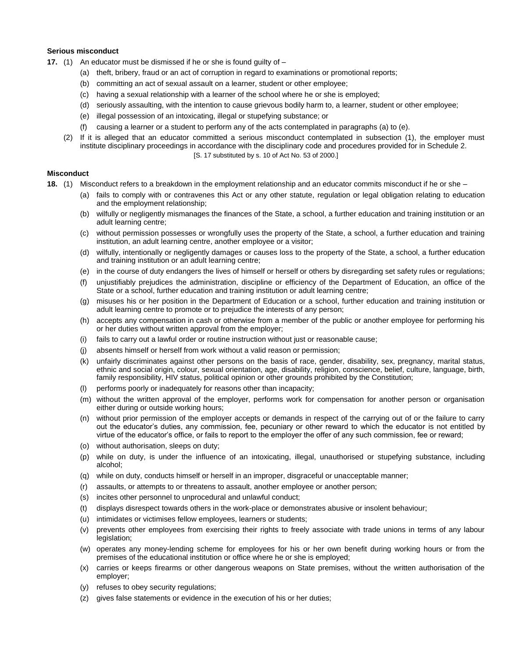#### **Serious misconduct**

- **17.** (1) An educator must be dismissed if he or she is found guilty of
	- (a) theft, bribery, fraud or an act of corruption in regard to examinations or promotional reports;
	- (b) committing an act of sexual assault on a learner, student or other employee;
	- (c) having a sexual relationship with a learner of the school where he or she is employed;
	- (d) seriously assaulting, with the intention to cause grievous bodily harm to, a learner, student or other employee;
	- (e) illegal possession of an intoxicating, illegal or stupefying substance; or
	- (f) causing a learner or a student to perform any of the acts contemplated in paragraphs (a) to (e).
	- (2) If it is alleged that an educator committed a serious misconduct contemplated in subsection (1), the employer must institute disciplinary proceedings in accordance with the disciplinary code and procedures provided for in Schedule 2. [S. 17 substituted by s. 10 of Act No. 53 of 2000.]

#### **Misconduct**

- **18.** (1) Misconduct refers to a breakdown in the employment relationship and an educator commits misconduct if he or she
	- (a) fails to comply with or contravenes this Act or any other statute, regulation or legal obligation relating to education and the employment relationship;
	- (b) wilfully or negligently mismanages the finances of the State, a school, a further education and training institution or an adult learning centre;
	- (c) without permission possesses or wrongfully uses the property of the State, a school, a further education and training institution, an adult learning centre, another employee or a visitor;
	- (d) wilfully, intentionally or negligently damages or causes loss to the property of the State, a school, a further education and training institution or an adult learning centre;
	- (e) in the course of duty endangers the lives of himself or herself or others by disregarding set safety rules or regulations;
	- (f) unjustifiably prejudices the administration, discipline or efficiency of the Department of Education, an office of the State or a school, further education and training institution or adult learning centre;
	- (g) misuses his or her position in the Department of Education or a school, further education and training institution or adult learning centre to promote or to prejudice the interests of any person;
	- (h) accepts any compensation in cash or otherwise from a member of the public or another employee for performing his or her duties without written approval from the employer;
	- (i) fails to carry out a lawful order or routine instruction without just or reasonable cause;
	- (j) absents himself or herself from work without a valid reason or permission;
	- (k) unfairly discriminates against other persons on the basis of race, gender, disability, sex, pregnancy, marital status, ethnic and social origin, colour, sexual orientation, age, disability, religion, conscience, belief, culture, language, birth, family responsibility, HIV status, political opinion or other grounds prohibited by the Constitution;
	- performs poorly or inadequately for reasons other than incapacity;
	- (m) without the written approval of the employer, performs work for compensation for another person or organisation either during or outside working hours;
	- (n) without prior permission of the employer accepts or demands in respect of the carrying out of or the failure to carry out the educator's duties, any commission, fee, pecuniary or other reward to which the educator is not entitled by virtue of the educator's office, or fails to report to the employer the offer of any such commission, fee or reward;
	- (o) without authorisation, sleeps on duty;
	- (p) while on duty, is under the influence of an intoxicating, illegal, unauthorised or stupefying substance, including alcohol;
	- (q) while on duty, conducts himself or herself in an improper, disgraceful or unacceptable manner;
	- (r) assaults, or attempts to or threatens to assault, another employee or another person;
	- (s) incites other personnel to unprocedural and unlawful conduct;
	- (t) displays disrespect towards others in the work-place or demonstrates abusive or insolent behaviour;
	- (u) intimidates or victimises fellow employees, learners or students;
	- (v) prevents other employees from exercising their rights to freely associate with trade unions in terms of any labour legislation;
	- (w) operates any money-lending scheme for employees for his or her own benefit during working hours or from the premises of the educational institution or office where he or she is employed;
	- (x) carries or keeps firearms or other dangerous weapons on State premises, without the written authorisation of the employer;
	- (y) refuses to obey security regulations;
	- (z) gives false statements or evidence in the execution of his or her duties;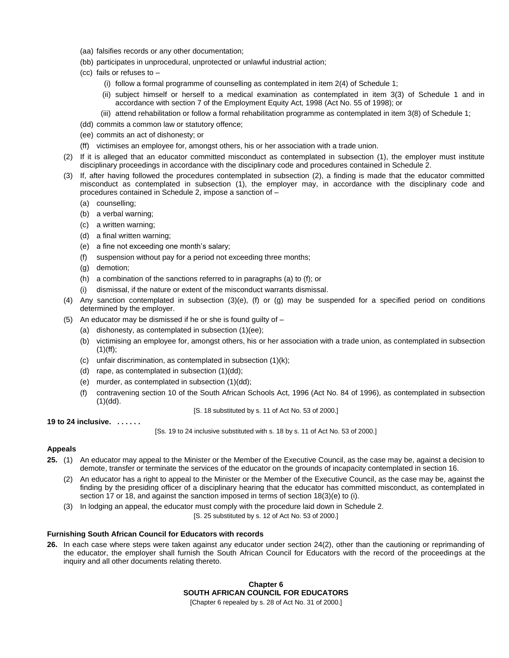- (aa) falsifies records or any other documentation;
- (bb) participates in unprocedural, unprotected or unlawful industrial action;
- (cc) fails or refuses to
	- (i) follow a formal programme of counselling as contemplated in item 2(4) of Schedule 1;
	- (ii) subject himself or herself to a medical examination as contemplated in item 3(3) of Schedule 1 and in accordance with section 7 of the Employment Equity Act, 1998 (Act No. 55 of 1998); or
	- (iii) attend rehabilitation or follow a formal rehabilitation programme as contemplated in item 3(8) of Schedule 1;
- (dd) commits a common law or statutory offence;
- (ee) commits an act of dishonesty; or
- (ff) victimises an employee for, amongst others, his or her association with a trade union.
- (2) If it is alleged that an educator committed misconduct as contemplated in subsection (1), the employer must institute disciplinary proceedings in accordance with the disciplinary code and procedures contained in Schedule 2.
- (3) If, after having followed the procedures contemplated in subsection (2), a finding is made that the educator committed misconduct as contemplated in subsection (1), the employer may, in accordance with the disciplinary code and procedures contained in Schedule 2, impose a sanction of –
	- (a) counselling;
	- (b) a verbal warning;
	- (c) a written warning;
	- (d) a final written warning;
	- (e) a fine not exceeding one month's salary;
	- (f) suspension without pay for a period not exceeding three months;
	- (g) demotion;
	- (h) a combination of the sanctions referred to in paragraphs (a) to (f); or
	- (i) dismissal, if the nature or extent of the misconduct warrants dismissal.
- (4) Any sanction contemplated in subsection (3)(e), (f) or (g) may be suspended for a specified period on conditions determined by the employer.
- (5) An educator may be dismissed if he or she is found guilty of
	- (a) dishonesty, as contemplated in subsection (1)(ee);
	- (b) victimising an employee for, amongst others, his or her association with a trade union, as contemplated in subsection  $(1)(ff)$ :
	- (c) unfair discrimination, as contemplated in subsection (1)(k);
	- (d) rape, as contemplated in subsection (1)(dd);
	- (e) murder, as contemplated in subsection (1)(dd);
	- (f) contravening section 10 of the South African Schools Act, 1996 (Act No. 84 of 1996), as contemplated in subsection  $(1)(dd)$ .

[S. 18 substituted by s. 11 of Act No. 53 of 2000.]

**19 to 24 inclusive. . . . . . .**

[Ss. 19 to 24 inclusive substituted with s. 18 by s. 11 of Act No. 53 of 2000.]

#### **Appeals**

- **25.** (1) An educator may appeal to the Minister or the Member of the Executive Council, as the case may be, against a decision to demote, transfer or terminate the services of the educator on the grounds of incapacity contemplated in section 16.
	- (2) An educator has a right to appeal to the Minister or the Member of the Executive Council, as the case may be, against the finding by the presiding officer of a disciplinary hearing that the educator has committed misconduct, as contemplated in section 17 or 18, and against the sanction imposed in terms of section 18(3)(e) to (i).
	- (3) In lodging an appeal, the educator must comply with the procedure laid down in Schedule 2.

[S. 25 substituted by s. 12 of Act No. 53 of 2000.]

#### **Furnishing South African Council for Educators with records**

**26.** In each case where steps were taken against any educator under section 24(2), other than the cautioning or reprimanding of the educator, the employer shall furnish the South African Council for Educators with the record of the proceedings at the inquiry and all other documents relating thereto.

> **Chapter 6 SOUTH AFRICAN COUNCIL FOR EDUCATORS**

[Chapter 6 repealed by s. 28 of Act No. 31 of 2000.]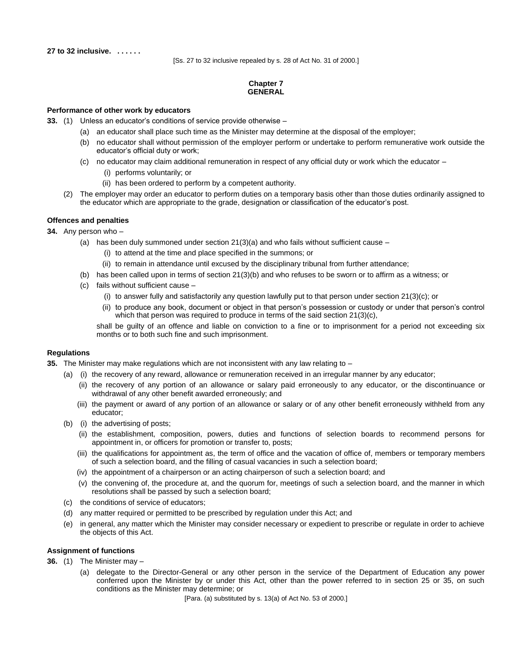**27 to 32 inclusive. . . . . . .**

[Ss. 27 to 32 inclusive repealed by s. 28 of Act No. 31 of 2000.]

### **Chapter 7 GENERAL**

#### **Performance of other work by educators**

**33.** (1) Unless an educator's conditions of service provide otherwise –

- (a) an educator shall place such time as the Minister may determine at the disposal of the employer;
- (b) no educator shall without permission of the employer perform or undertake to perform remunerative work outside the educator's official duty or work;
- (c) no educator may claim additional remuneration in respect of any official duty or work which the educator
	- (i) performs voluntarily; or
	- (ii) has been ordered to perform by a competent authority.
- (2) The employer may order an educator to perform duties on a temporary basis other than those duties ordinarily assigned to the educator which are appropriate to the grade, designation or classification of the educator's post.

#### **Offences and penalties**

#### **34.** Any person who –

- (a) has been duly summoned under section  $21(3)(a)$  and who fails without sufficient cause
	- (i) to attend at the time and place specified in the summons; or
	- (ii) to remain in attendance until excused by the disciplinary tribunal from further attendance;
- (b) has been called upon in terms of section 21(3)(b) and who refuses to be sworn or to affirm as a witness; or
- (c) fails without sufficient cause
	- (i) to answer fully and satisfactorily any question lawfully put to that person under section 21(3)(c); or
	- (ii) to produce any book, document or object in that person's possession or custody or under that person's control which that person was required to produce in terms of the said section 21(3)(c),

shall be guilty of an offence and liable on conviction to a fine or to imprisonment for a period not exceeding six months or to both such fine and such imprisonment.

#### **Regulations**

**35.** The Minister may make regulations which are not inconsistent with any law relating to –

- (a) (i) the recovery of any reward, allowance or remuneration received in an irregular manner by any educator;
	- (ii) the recovery of any portion of an allowance or salary paid erroneously to any educator, or the discontinuance or withdrawal of any other benefit awarded erroneously; and
	- (iii) the payment or award of any portion of an allowance or salary or of any other benefit erroneously withheld from any educator;
- (b) (i) the advertising of posts;
	- (ii) the establishment, composition, powers, duties and functions of selection boards to recommend persons for appointment in, or officers for promotion or transfer to, posts;
	- (iii) the qualifications for appointment as, the term of office and the vacation of office of, members or temporary members of such a selection board, and the filling of casual vacancies in such a selection board;
	- (iv) the appointment of a chairperson or an acting chairperson of such a selection board; and
	- (v) the convening of, the procedure at, and the quorum for, meetings of such a selection board, and the manner in which resolutions shall be passed by such a selection board;
- (c) the conditions of service of educators;
- (d) any matter required or permitted to be prescribed by regulation under this Act; and
- (e) in general, any matter which the Minister may consider necessary or expedient to prescribe or regulate in order to achieve the objects of this Act.

#### **Assignment of functions**

- **36.** (1) The Minister may
	- (a) delegate to the Director-General or any other person in the service of the Department of Education any power conferred upon the Minister by or under this Act, other than the power referred to in section 25 or 35, on such conditions as the Minister may determine; or

[Para. (a) substituted by s. 13(a) of Act No. 53 of 2000.]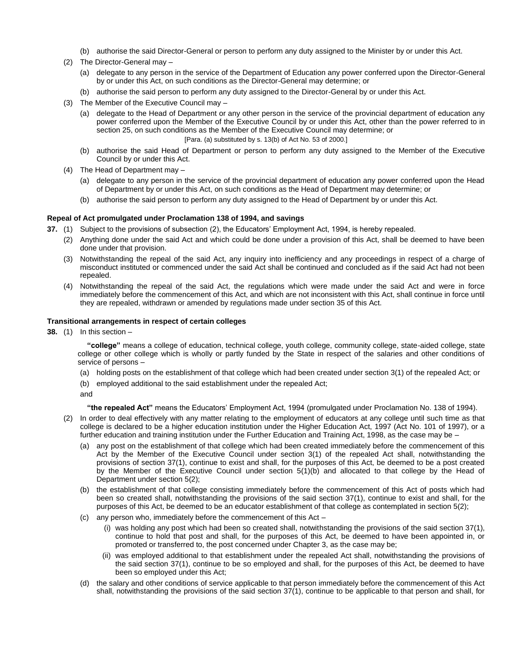- (b) authorise the said Director-General or person to perform any duty assigned to the Minister by or under this Act.
- (2) The Director-General may
	- (a) delegate to any person in the service of the Department of Education any power conferred upon the Director-General by or under this Act, on such conditions as the Director-General may determine; or
	- (b) authorise the said person to perform any duty assigned to the Director-General by or under this Act.
- (3) The Member of the Executive Council may
	- (a) delegate to the Head of Department or any other person in the service of the provincial department of education any power conferred upon the Member of the Executive Council by or under this Act, other than the power referred to in section 25, on such conditions as the Member of the Executive Council may determine; or [Para. (a) substituted by s. 13(b) of Act No. 53 of 2000.]
	- (b) authorise the said Head of Department or person to perform any duty assigned to the Member of the Executive Council by or under this Act.
- (4) The Head of Department may
	- (a) delegate to any person in the service of the provincial department of education any power conferred upon the Head of Department by or under this Act, on such conditions as the Head of Department may determine; or
	- (b) authorise the said person to perform any duty assigned to the Head of Department by or under this Act.

#### **Repeal of Act promulgated under Proclamation 138 of 1994, and savings**

**37.** (1) Subject to the provisions of subsection (2), the Educators' Employment Act, 1994, is hereby repealed.

- (2) Anything done under the said Act and which could be done under a provision of this Act, shall be deemed to have been done under that provision.
- (3) Notwithstanding the repeal of the said Act, any inquiry into inefficiency and any proceedings in respect of a charge of misconduct instituted or commenced under the said Act shall be continued and concluded as if the said Act had not been repealed.
- (4) Notwithstanding the repeal of the said Act, the regulations which were made under the said Act and were in force immediately before the commencement of this Act, and which are not inconsistent with this Act, shall continue in force until they are repealed, withdrawn or amended by regulations made under section 35 of this Act.

#### **Transitional arrangements in respect of certain colleges**

**38.** (1) In this section –

**"college"** means a college of education, technical college, youth college, community college, state-aided college, state college or other college which is wholly or partly funded by the State in respect of the salaries and other conditions of service of persons –

- (a) holding posts on the establishment of that college which had been created under section 3(1) of the repealed Act; or
- (b) employed additional to the said establishment under the repealed Act;
- and

**"the repealed Act"** means the Educators' Employment Act, 1994 (promulgated under Proclamation No. 138 of 1994).

- (2) In order to deal effectively with any matter relating to the employment of educators at any college until such time as that college is declared to be a higher education institution under the Higher Education Act, 1997 (Act No. 101 of 1997), or a further education and training institution under the Further Education and Training Act, 1998, as the case may be –
	- (a) any post on the establishment of that college which had been created immediately before the commencement of this Act by the Member of the Executive Council under section 3(1) of the repealed Act shall, notwithstanding the provisions of section 37(1), continue to exist and shall, for the purposes of this Act, be deemed to be a post created by the Member of the Executive Council under section 5(1)(b) and allocated to that college by the Head of Department under section 5(2);
	- (b) the establishment of that college consisting immediately before the commencement of this Act of posts which had been so created shall, notwithstanding the provisions of the said section 37(1), continue to exist and shall, for the purposes of this Act, be deemed to be an educator establishment of that college as contemplated in section 5(2);
	- (c) any person who, immediately before the commencement of this Act
		- (i) was holding any post which had been so created shall, notwithstanding the provisions of the said section 37(1), continue to hold that post and shall, for the purposes of this Act, be deemed to have been appointed in, or promoted or transferred to, the post concerned under Chapter 3, as the case may be;
		- (ii) was employed additional to that establishment under the repealed Act shall, notwithstanding the provisions of the said section 37(1), continue to be so employed and shall, for the purposes of this Act, be deemed to have been so employed under this Act;
	- (d) the salary and other conditions of service applicable to that person immediately before the commencement of this Act shall, notwithstanding the provisions of the said section 37(1), continue to be applicable to that person and shall, for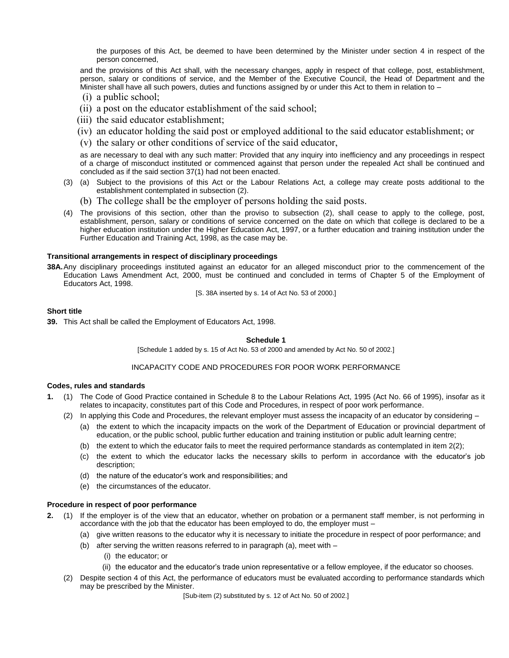the purposes of this Act, be deemed to have been determined by the Minister under section 4 in respect of the person concerned,

and the provisions of this Act shall, with the necessary changes, apply in respect of that college, post, establishment, person, salary or conditions of service, and the Member of the Executive Council, the Head of Department and the Minister shall have all such powers, duties and functions assigned by or under this Act to them in relation to –

- (i) a public school;
- (ii) a post on the educator establishment of the said school;
- (iii) the said educator establishment;
- (iv) an educator holding the said post or employed additional to the said educator establishment; or
- (v) the salary or other conditions of service of the said educator,

as are necessary to deal with any such matter: Provided that any inquiry into inefficiency and any proceedings in respect of a charge of misconduct instituted or commenced against that person under the repealed Act shall be continued and concluded as if the said section 37(1) had not been enacted.

- (3) (a) Subject to the provisions of this Act or the Labour Relations Act, a college may create posts additional to the establishment contemplated in subsection (2).
	- (b) The college shall be the employer of persons holding the said posts.
- (4) The provisions of this section, other than the proviso to subsection (2), shall cease to apply to the college, post, establishment, person, salary or conditions of service concerned on the date on which that college is declared to be a higher education institution under the Higher Education Act, 1997, or a further education and training institution under the Further Education and Training Act, 1998, as the case may be.

#### **Transitional arrangements in respect of disciplinary proceedings**

**38A.**Any disciplinary proceedings instituted against an educator for an alleged misconduct prior to the commencement of the Education Laws Amendment Act, 2000, must be continued and concluded in terms of Chapter 5 of the Employment of Educators Act, 1998.

[S. 38A inserted by s. 14 of Act No. 53 of 2000.]

#### **Short title**

**39.** This Act shall be called the Employment of Educators Act, 1998.

#### **Schedule 1**

[Schedule 1 added by s. 15 of Act No. 53 of 2000 and amended by Act No. 50 of 2002.]

#### INCAPACITY CODE AND PROCEDURES FOR POOR WORK PERFORMANCE

#### **Codes, rules and standards**

- **1.** (1) The Code of Good Practice contained in Schedule 8 to the Labour Relations Act, 1995 (Act No. 66 of 1995), insofar as it relates to incapacity, constitutes part of this Code and Procedures, in respect of poor work performance.
	- (2) In applying this Code and Procedures, the relevant employer must assess the incapacity of an educator by considering
		- (a) the extent to which the incapacity impacts on the work of the Department of Education or provincial department of education, or the public school, public further education and training institution or public adult learning centre;
		- (b) the extent to which the educator fails to meet the required performance standards as contemplated in item 2(2);
		- (c) the extent to which the educator lacks the necessary skills to perform in accordance with the educator's job description;
		- (d) the nature of the educator's work and responsibilities; and
		- (e) the circumstances of the educator.

#### **Procedure in respect of poor performance**

- **2.** (1) If the employer is of the view that an educator, whether on probation or a permanent staff member, is not performing in accordance with the job that the educator has been employed to do, the employer must –
	- (a) give written reasons to the educator why it is necessary to initiate the procedure in respect of poor performance; and
	- (b) after serving the written reasons referred to in paragraph (a), meet with
		- (i) the educator; or
		- (ii) the educator and the educator's trade union representative or a fellow employee, if the educator so chooses.
	- (2) Despite section 4 of this Act, the performance of educators must be evaluated according to performance standards which may be prescribed by the Minister.

[Sub-item (2) substituted by s. 12 of Act No. 50 of 2002.]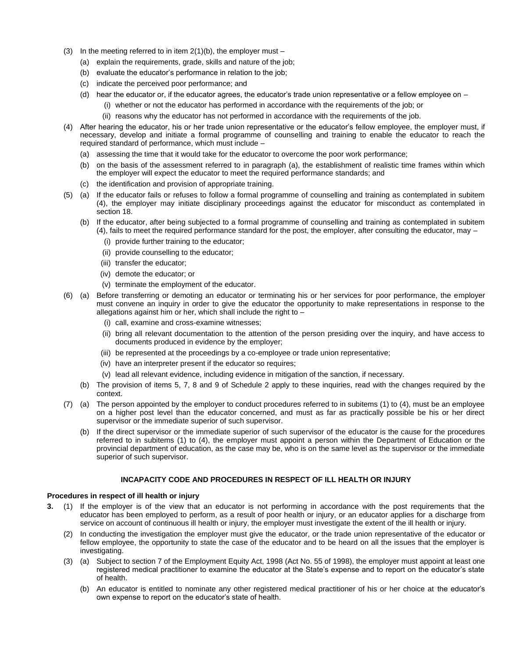- (3) In the meeting referred to in item  $2(1)(b)$ , the employer must
	- (a) explain the requirements, grade, skills and nature of the job;
	- (b) evaluate the educator's performance in relation to the job;
	- (c) indicate the perceived poor performance; and
	- (d) hear the educator or, if the educator agrees, the educator's trade union representative or a fellow employee on
		- (i) whether or not the educator has performed in accordance with the requirements of the job; or
		- (ii) reasons why the educator has not performed in accordance with the requirements of the job.
- (4) After hearing the educator, his or her trade union representative or the educator's fellow employee, the employer must, if necessary, develop and initiate a formal programme of counselling and training to enable the educator to reach the required standard of performance, which must include –
	- (a) assessing the time that it would take for the educator to overcome the poor work performance;
	- (b) on the basis of the assessment referred to in paragraph (a), the establishment of realistic time frames within which the employer will expect the educator to meet the required performance standards; and
	- (c) the identification and provision of appropriate training.
- (5) (a) If the educator fails or refuses to follow a formal programme of counselling and training as contemplated in subitem (4), the employer may initiate disciplinary proceedings against the educator for misconduct as contemplated in section 18.
	- (b) If the educator, after being subjected to a formal programme of counselling and training as contemplated in subitem (4), fails to meet the required performance standard for the post, the employer, after consulting the educator, may –
		- (i) provide further training to the educator;
		- (ii) provide counselling to the educator;
		- (iii) transfer the educator;
		- (iv) demote the educator; or
		- (v) terminate the employment of the educator.
- (6) (a) Before transferring or demoting an educator or terminating his or her services for poor performance, the employer must convene an inquiry in order to give the educator the opportunity to make representations in response to the allegations against him or her, which shall include the right to  $-$ 
	- (i) call, examine and cross-examine witnesses;
	- (ii) bring all relevant documentation to the attention of the person presiding over the inquiry, and have access to documents produced in evidence by the employer;
	- (iii) be represented at the proceedings by a co-employee or trade union representative;
	- (iv) have an interpreter present if the educator so requires;
	- (v) lead all relevant evidence, including evidence in mitigation of the sanction, if necessary.
	- (b) The provision of items 5, 7, 8 and 9 of Schedule 2 apply to these inquiries, read with the changes required by the context.
- (7) (a) The person appointed by the employer to conduct procedures referred to in subitems (1) to (4), must be an employee on a higher post level than the educator concerned, and must as far as practically possible be his or her direct supervisor or the immediate superior of such supervisor.
	- (b) If the direct supervisor or the immediate superior of such supervisor of the educator is the cause for the procedures referred to in subitems (1) to (4), the employer must appoint a person within the Department of Education or the provincial department of education, as the case may be, who is on the same level as the supervisor or the immediate superior of such supervisor.

### **INCAPACITY CODE AND PROCEDURES IN RESPECT OF ILL HEALTH OR INJURY**

#### **Procedures in respect of ill health or injury**

- **3.** (1) If the employer is of the view that an educator is not performing in accordance with the post requirements that the educator has been employed to perform, as a result of poor health or injury, or an educator applies for a discharge from service on account of continuous ill health or injury, the employer must investigate the extent of the ill health or injury.
	- (2) In conducting the investigation the employer must give the educator, or the trade union representative of the educator or fellow employee, the opportunity to state the case of the educator and to be heard on all the issues that the employer is investigating.
	- (3) (a) Subject to section 7 of the Employment Equity Act, 1998 (Act No. 55 of 1998), the employer must appoint at least one registered medical practitioner to examine the educator at the State's expense and to report on the educator's state of health.
		- (b) An educator is entitled to nominate any other registered medical practitioner of his or her choice at the educator's own expense to report on the educator's state of health.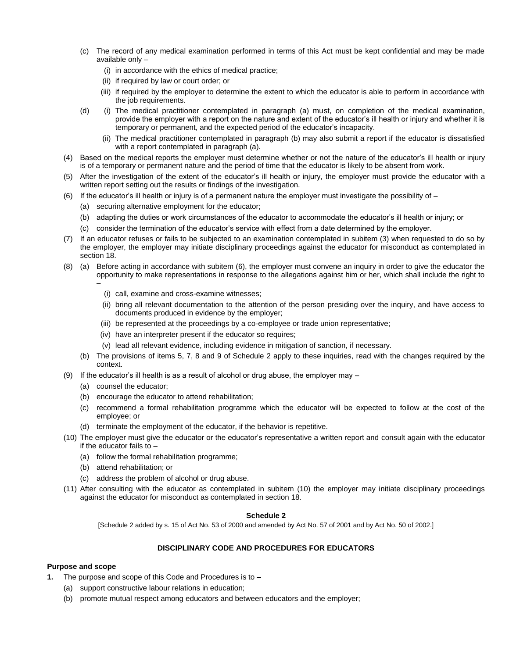- (c) The record of any medical examination performed in terms of this Act must be kept confidential and may be made available only –
	- (i) in accordance with the ethics of medical practice;
	- (ii) if required by law or court order; or
	- (iii) if required by the employer to determine the extent to which the educator is able to perform in accordance with the job requirements.
- (d) (i) The medical practitioner contemplated in paragraph (a) must, on completion of the medical examination, provide the employer with a report on the nature and extent of the educator's ill health or injury and whether it is temporary or permanent, and the expected period of the educator's incapacity.
	- (ii) The medical practitioner contemplated in paragraph (b) may also submit a report if the educator is dissatisfied with a report contemplated in paragraph (a).
- (4) Based on the medical reports the employer must determine whether or not the nature of the educator's ill health or injury is of a temporary or permanent nature and the period of time that the educator is likely to be absent from work.
- (5) After the investigation of the extent of the educator's ill health or injury, the employer must provide the educator with a written report setting out the results or findings of the investigation.
- (6) If the educator's ill health or injury is of a permanent nature the employer must investigate the possibility of
	- (a) securing alternative employment for the educator;
	- (b) adapting the duties or work circumstances of the educator to accommodate the educator's ill health or injury; or
	- (c) consider the termination of the educator's service with effect from a date determined by the employer.
- (7) If an educator refuses or fails to be subjected to an examination contemplated in subitem (3) when requested to do so by the employer, the employer may initiate disciplinary proceedings against the educator for misconduct as contemplated in section 18.
- (8) (a) Before acting in accordance with subitem (6), the employer must convene an inquiry in order to give the educator the opportunity to make representations in response to the allegations against him or her, which shall include the right to –
	- (i) call, examine and cross-examine witnesses;
	- (ii) bring all relevant documentation to the attention of the person presiding over the inquiry, and have access to documents produced in evidence by the employer;
	- (iii) be represented at the proceedings by a co-employee or trade union representative;
	- (iv) have an interpreter present if the educator so requires;
	- (v) lead all relevant evidence, including evidence in mitigation of sanction, if necessary.
	- (b) The provisions of items 5, 7, 8 and 9 of Schedule 2 apply to these inquiries, read with the changes required by the context.
- (9) If the educator's ill health is as a result of alcohol or drug abuse, the employer may
	- (a) counsel the educator;
	- (b) encourage the educator to attend rehabilitation;
	- (c) recommend a formal rehabilitation programme which the educator will be expected to follow at the cost of the employee; or
	- (d) terminate the employment of the educator, if the behavior is repetitive.
- (10) The employer must give the educator or the educator's representative a written report and consult again with the educator if the educator fails to –
	- (a) follow the formal rehabilitation programme;
	- (b) attend rehabilitation; or
	- (c) address the problem of alcohol or drug abuse.
- (11) After consulting with the educator as contemplated in subitem (10) the employer may initiate disciplinary proceedings against the educator for misconduct as contemplated in section 18.

#### **Schedule 2**

[Schedule 2 added by s. 15 of Act No. 53 of 2000 and amended by Act No. 57 of 2001 and by Act No. 50 of 2002.]

### **DISCIPLINARY CODE AND PROCEDURES FOR EDUCATORS**

#### **Purpose and scope**

- **1.** The purpose and scope of this Code and Procedures is to
	- (a) support constructive labour relations in education;
	- (b) promote mutual respect among educators and between educators and the employer;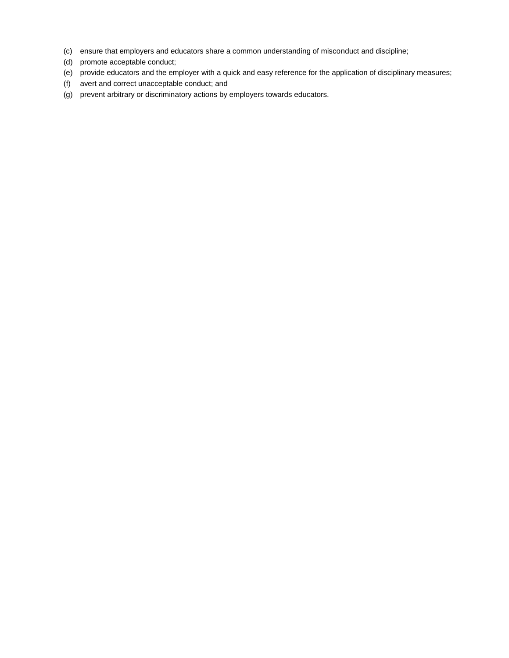- (c) ensure that employers and educators share a common understanding of misconduct and discipline;
- (d) promote acceptable conduct;
- (e) provide educators and the employer with a quick and easy reference for the application of disciplinary measures;
- (f) avert and correct unacceptable conduct; and
- (g) prevent arbitrary or discriminatory actions by employers towards educators.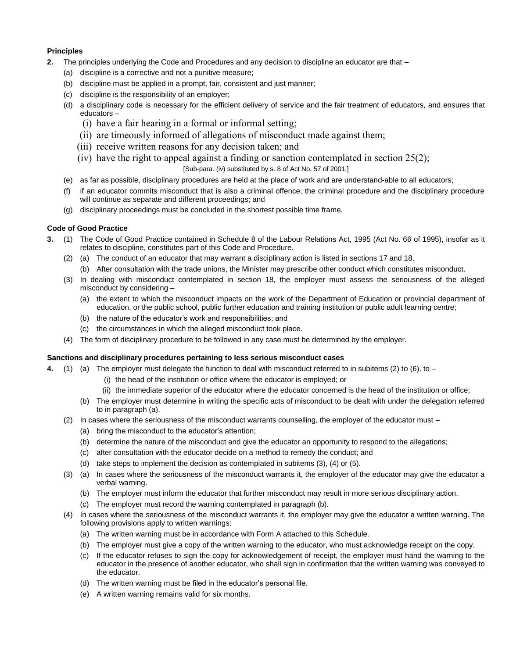### **Principles**

- **2.** The principles underlying the Code and Procedures and any decision to discipline an educator are that
	- (a) discipline is a corrective and not a punitive measure;
	- (b) discipline must be applied in a prompt, fair, consistent and just manner;
	- (c) discipline is the responsibility of an employer;
	- (d) a disciplinary code is necessary for the efficient delivery of service and the fair treatment of educators, and ensures that educators –
		- (i) have a fair hearing in a formal or informal setting;
		- (ii) are timeously informed of allegations of misconduct made against them;
		- (iii) receive written reasons for any decision taken; and
		- (iv) have the right to appeal against a finding or sanction contemplated in section  $25(2)$ ;

[Sub-para. (iv) substituted by s. 8 of Act No. 57 of 2001.]

- (e) as far as possible, disciplinary procedures are held at the place of work and are understand-able to all educators;
- (f) if an educator commits misconduct that is also a criminal offence, the criminal procedure and the disciplinary procedure will continue as separate and different proceedings; and
- (g) disciplinary proceedings must be concluded in the shortest possible time frame.

### **Code of Good Practice**

- **3.** (1) The Code of Good Practice contained in Schedule 8 of the Labour Relations Act, 1995 (Act No. 66 of 1995), insofar as it relates to discipline, constitutes part of this Code and Procedure.
	- (2) (a) The conduct of an educator that may warrant a disciplinary action is listed in sections 17 and 18.
		- (b) After consultation with the trade unions, the Minister may prescribe other conduct which constitutes misconduct.
	- (3) In dealing with misconduct contemplated in section 18, the employer must assess the seriousness of the alleged misconduct by considering –
		- (a) the extent to which the misconduct impacts on the work of the Department of Education or provincial department of education, or the public school, public further education and training institution or public adult learning centre;
		- (b) the nature of the educator's work and responsibilities; and
		- (c) the circumstances in which the alleged misconduct took place.
	- (4) The form of disciplinary procedure to be followed in any case must be determined by the employer.

#### **Sanctions and disciplinary procedures pertaining to less serious misconduct cases**

- **4.** (1) (a) The employer must delegate the function to deal with misconduct referred to in subitems (2) to (6), to
	- (i) the head of the institution or office where the educator is employed; or
	- (ii) the immediate superior of the educator where the educator concerned is the head of the institution or office;
	- (b) The employer must determine in writing the specific acts of misconduct to be dealt with under the delegation referred to in paragraph (a).
	- (2) In cases where the seriousness of the misconduct warrants counselling, the employer of the educator must
		- (a) bring the misconduct to the educator's attention;
		- (b) determine the nature of the misconduct and give the educator an opportunity to respond to the allegations;
		- (c) after consultation with the educator decide on a method to remedy the conduct; and
		- (d) take steps to implement the decision as contemplated in subitems (3), (4) or (5).
	- (3) (a) In cases where the seriousness of the misconduct warrants it, the employer of the educator may give the educator a verbal warning.
		- (b) The employer must inform the educator that further misconduct may result in more serious disciplinary action.
		- (c) The employer must record the warning contemplated in paragraph (b).
	- (4) In cases where the seriousness of the misconduct warrants it, the employer may give the educator a written warning. The following provisions apply to written warnings:
		- (a) The written warning must be in accordance with Form A attached to this Schedule.
		- (b) The employer must give a copy of the written warning to the educator, who must acknowledge receipt on the copy.
		- (c) If the educator refuses to sign the copy for acknowledgement of receipt, the employer must hand the warning to the educator in the presence of another educator, who shall sign in confirmation that the written warning was conveyed to the educator.
		- (d) The written warning must be filed in the educator's personal file.
		- (e) A written warning remains valid for six months.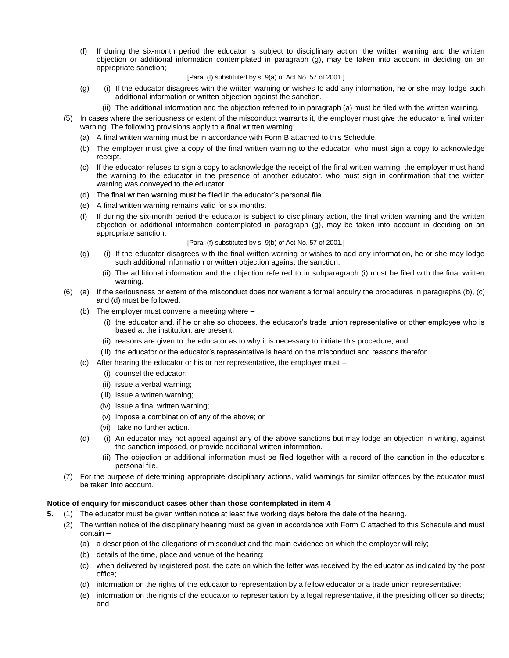(f) If during the six-month period the educator is subject to disciplinary action, the written warning and the written objection or additional information contemplated in paragraph (g), may be taken into account in deciding on an appropriate sanction;

#### [Para. (f) substituted by s. 9(a) of Act No. 57 of 2001.]

- (g) (i) If the educator disagrees with the written warning or wishes to add any information, he or she may lodge such additional information or written objection against the sanction.
	- (ii) The additional information and the objection referred to in paragraph (a) must be filed with the written warning.
- (5) In cases where the seriousness or extent of the misconduct warrants it, the employer must give the educator a final written warning. The following provisions apply to a final written warning:
	- (a) A final written warning must be in accordance with Form B attached to this Schedule.
	- (b) The employer must give a copy of the final written warning to the educator, who must sign a copy to acknowledge receipt.
	- (c) If the educator refuses to sign a copy to acknowledge the receipt of the final written warning, the employer must hand the warning to the educator in the presence of another educator, who must sign in confirmation that the written warning was conveyed to the educator.
	- (d) The final written warning must be filed in the educator's personal file.
	- (e) A final written warning remains valid for six months.
	- If during the six-month period the educator is subject to disciplinary action, the final written warning and the written objection or additional information contemplated in paragraph (g), may be taken into account in deciding on an appropriate sanction;

#### [Para. (f) substituted by s. 9(b) of Act No. 57 of 2001.]

- (g) (i) If the educator disagrees with the final written warning or wishes to add any information, he or she may lodge such additional information or written objection against the sanction.
	- (ii) The additional information and the objection referred to in subparagraph (i) must be filed with the final written warning.
- (6) (a) If the seriousness or extent of the misconduct does not warrant a formal enquiry the procedures in paragraphs (b), (c) and (d) must be followed.
	- (b) The employer must convene a meeting where
		- (i) the educator and, if he or she so chooses, the educator's trade union representative or other employee who is based at the institution, are present;
		- (ii) reasons are given to the educator as to why it is necessary to initiate this procedure; and
		- (iii) the educator or the educator's representative is heard on the misconduct and reasons therefor.
	- (c) After hearing the educator or his or her representative, the employer must
		- (i) counsel the educator;
		- (ii) issue a verbal warning;
		- (iii) issue a written warning;
		- (iv) issue a final written warning;
		- (v) impose a combination of any of the above; or
		- (vi) take no further action.
	- (d) (i) An educator may not appeal against any of the above sanctions but may lodge an objection in writing, against the sanction imposed, or provide additional written information.
		- (ii) The objection or additional information must be filed together with a record of the sanction in the educator's personal file.
- (7) For the purpose of determining appropriate disciplinary actions, valid warnings for similar offences by the educator must be taken into account.

#### **Notice of enquiry for misconduct cases other than those contemplated in item 4**

- **5.** (1) The educator must be given written notice at least five working days before the date of the hearing.
	- (2) The written notice of the disciplinary hearing must be given in accordance with Form C attached to this Schedule and must contain –
		- (a) a description of the allegations of misconduct and the main evidence on which the employer will rely;
		- (b) details of the time, place and venue of the hearing;
		- (c) when delivered by registered post, the date on which the letter was received by the educator as indicated by the post office;
		- (d) information on the rights of the educator to representation by a fellow educator or a trade union representative;
		- (e) information on the rights of the educator to representation by a legal representative, if the presiding officer so directs; and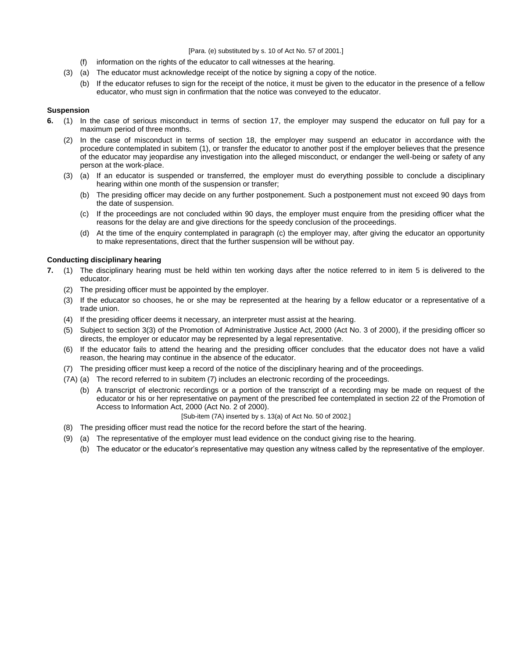[Para. (e) substituted by s. 10 of Act No. 57 of 2001.]

- (f) information on the rights of the educator to call witnesses at the hearing.
- (3) (a) The educator must acknowledge receipt of the notice by signing a copy of the notice.
	- (b) If the educator refuses to sign for the receipt of the notice, it must be given to the educator in the presence of a fellow educator, who must sign in confirmation that the notice was conveyed to the educator.

#### **Suspension**

- **6.** (1) In the case of serious misconduct in terms of section 17, the employer may suspend the educator on full pay for a maximum period of three months.
	- (2) In the case of misconduct in terms of section 18, the employer may suspend an educator in accordance with the procedure contemplated in subitem (1), or transfer the educator to another post if the employer believes that the presence of the educator may jeopardise any investigation into the alleged misconduct, or endanger the well-being or safety of any person at the work-place.
	- (3) (a) If an educator is suspended or transferred, the employer must do everything possible to conclude a disciplinary hearing within one month of the suspension or transfer;
		- (b) The presiding officer may decide on any further postponement. Such a postponement must not exceed 90 days from the date of suspension.
		- (c) If the proceedings are not concluded within 90 days, the employer must enquire from the presiding officer what the reasons for the delay are and give directions for the speedy conclusion of the proceedings.
		- (d) At the time of the enquiry contemplated in paragraph (c) the employer may, after giving the educator an opportunity to make representations, direct that the further suspension will be without pay.

#### **Conducting disciplinary hearing**

- **7.** (1) The disciplinary hearing must be held within ten working days after the notice referred to in item 5 is delivered to the educator.
	- (2) The presiding officer must be appointed by the employer.
	- (3) If the educator so chooses, he or she may be represented at the hearing by a fellow educator or a representative of a trade union.
	- (4) If the presiding officer deems it necessary, an interpreter must assist at the hearing.
	- (5) Subject to section 3(3) of the Promotion of Administrative Justice Act, 2000 (Act No. 3 of 2000), if the presiding officer so directs, the employer or educator may be represented by a legal representative.
	- (6) If the educator fails to attend the hearing and the presiding officer concludes that the educator does not have a valid reason, the hearing may continue in the absence of the educator.
	- (7) The presiding officer must keep a record of the notice of the disciplinary hearing and of the proceedings.
	- (7A) (a) The record referred to in subitem (7) includes an electronic recording of the proceedings.
		- (b) A transcript of electronic recordings or a portion of the transcript of a recording may be made on request of the educator or his or her representative on payment of the prescribed fee contemplated in section 22 of the Promotion of Access to Information Act, 2000 (Act No. 2 of 2000).

#### [Sub-item (7A) inserted by s. 13(a) of Act No. 50 of 2002.]

- (8) The presiding officer must read the notice for the record before the start of the hearing.
- (9) (a) The representative of the employer must lead evidence on the conduct giving rise to the hearing.
	- (b) The educator or the educator's representative may question any witness called by the representative of the employer.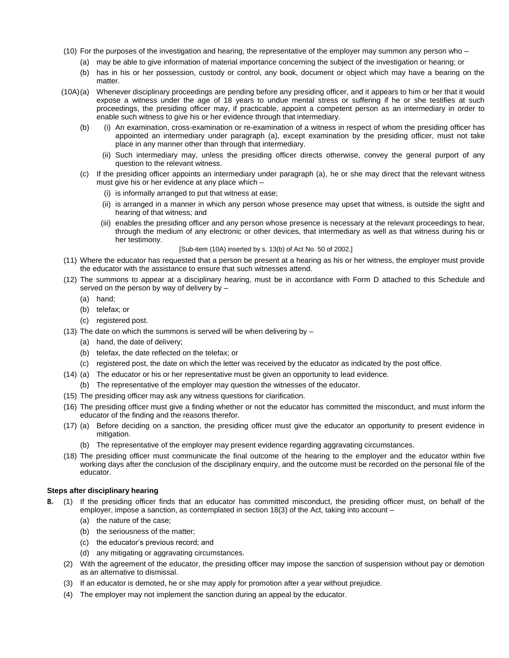- (10) For the purposes of the investigation and hearing, the representative of the employer may summon any person who
	- (a) may be able to give information of material importance concerning the subject of the investigation or hearing; or
	- (b) has in his or her possession, custody or control, any book, document or object which may have a bearing on the matter.
- (10A)(a) Whenever disciplinary proceedings are pending before any presiding officer, and it appears to him or her that it would expose a witness under the age of 18 years to undue mental stress or suffering if he or she testifies at such proceedings, the presiding officer may, if practicable, appoint a competent person as an intermediary in order to enable such witness to give his or her evidence through that intermediary.
	- (b) (i) An examination, cross-examination or re-examination of a witness in respect of whom the presiding officer has appointed an intermediary under paragraph (a)*,* except examination by the presiding officer, must not take place in any manner other than through that intermediary.
		- (ii) Such intermediary may, unless the presiding officer directs otherwise, convey the general purport of any question to the relevant witness.
	- (c) If the presiding officer appoints an intermediary under paragraph (a)*,* he or she may direct that the relevant witness must give his or her evidence at any place which –
		- (i) is informally arranged to put that witness at ease;
		- (ii) is arranged in a manner in which any person whose presence may upset that witness, is outside the sight and hearing of that witness; and
		- (iii) enables the presiding officer and any person whose presence is necessary at the relevant proceedings to hear, through the medium of any electronic or other devices, that intermediary as well as that witness during his or her testimony.

#### [Sub-item (10A) inserted by s. 13(b) of Act No. 50 of 2002.]

- (11) Where the educator has requested that a person be present at a hearing as his or her witness, the employer must provide the educator with the assistance to ensure that such witnesses attend.
- (12) The summons to appear at a disciplinary hearing, must be in accordance with Form D attached to this Schedule and served on the person by way of delivery by –
	- (a) hand;
	- (b) telefax; or
	- (c) registered post.
- (13) The date on which the summons is served will be when delivering by  $-$ 
	- (a) hand, the date of delivery;
	- (b) telefax, the date reflected on the telefax; or
	- (c) registered post, the date on which the letter was received by the educator as indicated by the post office.
- (14) (a) The educator or his or her representative must be given an opportunity to lead evidence.
	- (b) The representative of the employer may question the witnesses of the educator.
- (15) The presiding officer may ask any witness questions for clarification.
- (16) The presiding officer must give a finding whether or not the educator has committed the misconduct, and must inform the educator of the finding and the reasons therefor.
- (17) (a) Before deciding on a sanction, the presiding officer must give the educator an opportunity to present evidence in mitigation.
	- (b) The representative of the employer may present evidence regarding aggravating circumstances.
- (18) The presiding officer must communicate the final outcome of the hearing to the employer and the educator within five working days after the conclusion of the disciplinary enquiry, and the outcome must be recorded on the personal file of the educator.

#### **Steps after disciplinary hearing**

- **8.** (1) If the presiding officer finds that an educator has committed misconduct, the presiding officer must, on behalf of the employer, impose a sanction, as contemplated in section 18(3) of the Act, taking into account –
	- (a) the nature of the case;
	- (b) the seriousness of the matter;
	- (c) the educator's previous record; and
	- (d) any mitigating or aggravating circumstances.
	- (2) With the agreement of the educator, the presiding officer may impose the sanction of suspension without pay or demotion as an alternative to dismissal.
	- (3) If an educator is demoted, he or she may apply for promotion after a year without prejudice.
	- (4) The employer may not implement the sanction during an appeal by the educator.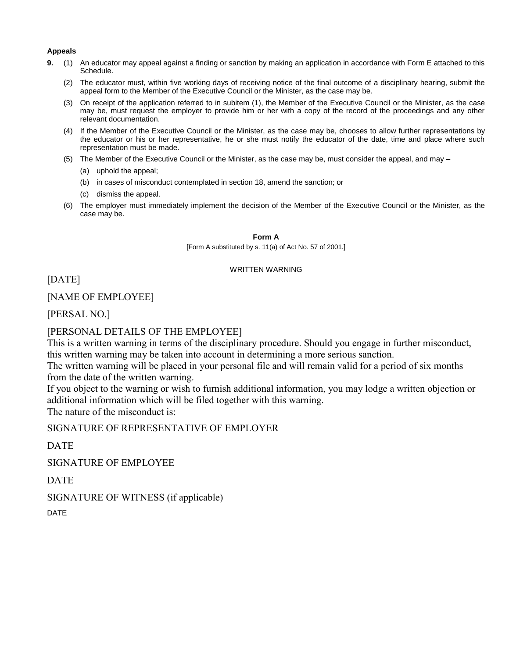#### **Appeals**

- **9.** (1) An educator may appeal against a finding or sanction by making an application in accordance with Form E attached to this Schedule.
	- (2) The educator must, within five working days of receiving notice of the final outcome of a disciplinary hearing, submit the appeal form to the Member of the Executive Council or the Minister, as the case may be.
	- (3) On receipt of the application referred to in subitem (1), the Member of the Executive Council or the Minister, as the case may be, must request the employer to provide him or her with a copy of the record of the proceedings and any other relevant documentation.
	- (4) If the Member of the Executive Council or the Minister, as the case may be, chooses to allow further representations by the educator or his or her representative, he or she must notify the educator of the date, time and place where such representation must be made.
	- (5) The Member of the Executive Council or the Minister, as the case may be, must consider the appeal, and may
		- (a) uphold the appeal;
		- (b) in cases of misconduct contemplated in section 18, amend the sanction; or
		- (c) dismiss the appeal.
	- (6) The employer must immediately implement the decision of the Member of the Executive Council or the Minister, as the case may be.

### **Form A**

[Form A substituted by s. 11(a) of Act No. 57 of 2001.]

### WRITTEN WARNING

[DATE]

### [NAME OF EMPLOYEE]

[PERSAL NO.]

### [PERSONAL DETAILS OF THE EMPLOYEE]

This is a written warning in terms of the disciplinary procedure. Should you engage in further misconduct, this written warning may be taken into account in determining a more serious sanction.

The written warning will be placed in your personal file and will remain valid for a period of six months from the date of the written warning.

If you object to the warning or wish to furnish additional information, you may lodge a written objection or additional information which will be filed together with this warning. The nature of the misconduct is:

SIGNATURE OF REPRESENTATIVE OF EMPLOYER

**DATE** 

SIGNATURE OF EMPLOYEE

DATE

SIGNATURE OF WITNESS (if applicable)

DATE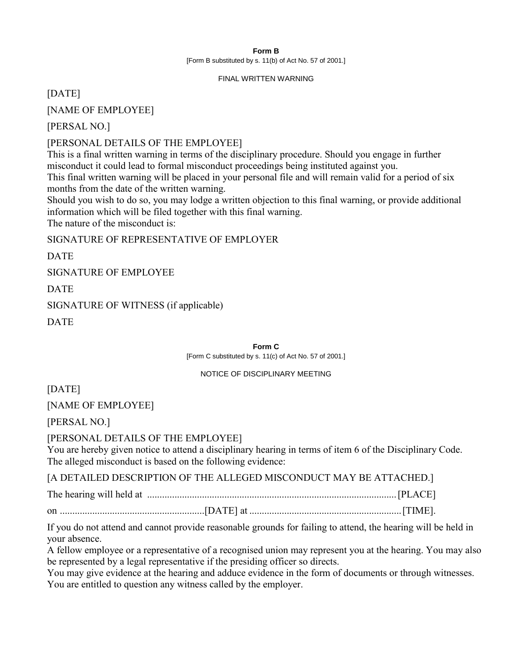### **Form B** [Form B substituted by s. 11(b) of Act No. 57 of 2001.]

### FINAL WRITTEN WARNING

[DATE]

[NAME OF EMPLOYEE]

[PERSAL NO.]

[PERSONAL DETAILS OF THE EMPLOYEE]

This is a final written warning in terms of the disciplinary procedure. Should you engage in further misconduct it could lead to formal misconduct proceedings being instituted against you. This final written warning will be placed in your personal file and will remain valid for a period of six months from the date of the written warning.

Should you wish to do so, you may lodge a written objection to this final warning, or provide additional information which will be filed together with this final warning. The nature of the misconduct is:

SIGNATURE OF REPRESENTATIVE OF EMPLOYER

DATE

SIGNATURE OF EMPLOYEE

DATE

SIGNATURE OF WITNESS (if applicable)

**DATE** 

**Form C** [Form C substituted by s. 11(c) of Act No. 57 of 2001.]

### NOTICE OF DISCIPLINARY MEETING

[DATE]

[NAME OF EMPLOYEE]

[PERSAL NO.]

[PERSONAL DETAILS OF THE EMPLOYEE]

You are hereby given notice to attend a disciplinary hearing in terms of item 6 of the Disciplinary Code. The alleged misconduct is based on the following evidence:

[A DETAILED DESCRIPTION OF THE ALLEGED MISCONDUCT MAY BE ATTACHED.]

The hearing will held at ....................................................................................................[PLACE]

on ..........................................................[DATE] at .............................................................[TIME].

If you do not attend and cannot provide reasonable grounds for failing to attend, the hearing will be held in your absence.

A fellow employee or a representative of a recognised union may represent you at the hearing. You may also be represented by a legal representative if the presiding officer so directs.

You may give evidence at the hearing and adduce evidence in the form of documents or through witnesses. You are entitled to question any witness called by the employer.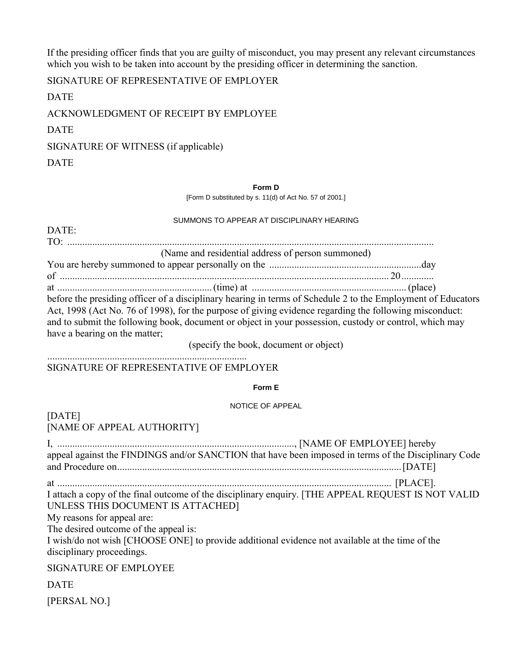If the presiding officer finds that you are guilty of misconduct, you may present any relevant circumstances which you wish to be taken into account by the presiding officer in determining the sanction.

SIGNATURE OF REPRESENTATIVE OF EMPLOYER

DATE

ACKNOWLEDGMENT OF RECEIPT BY EMPLOYEE

DATE

SIGNATURE OF WITNESS (if applicable)

DATE

### **Form D**

[Form D substituted by s. 11(d) of Act No. 57 of 2001.]

### SUMMONS TO APPEAR AT DISCIPLINARY HEARING

| DATE:                                                                                                                                                                                                                                                                                                                                                                                                       |
|-------------------------------------------------------------------------------------------------------------------------------------------------------------------------------------------------------------------------------------------------------------------------------------------------------------------------------------------------------------------------------------------------------------|
|                                                                                                                                                                                                                                                                                                                                                                                                             |
| (Name and residential address of person summoned)                                                                                                                                                                                                                                                                                                                                                           |
|                                                                                                                                                                                                                                                                                                                                                                                                             |
|                                                                                                                                                                                                                                                                                                                                                                                                             |
| before the presiding officer of a disciplinary hearing in terms of Schedule 2 to the Employment of Educators<br>Act, 1998 (Act No. 76 of 1998), for the purpose of giving evidence regarding the following misconduct:<br>and to submit the following book, document or object in your possession, custody or control, which may<br>have a bearing on the matter;<br>(specify the book, document or object) |
| SIGNATURE OF REPRESENTATIVE OF EMPLOYER                                                                                                                                                                                                                                                                                                                                                                     |
| Form E                                                                                                                                                                                                                                                                                                                                                                                                      |
| NOTICE OF APPEAL                                                                                                                                                                                                                                                                                                                                                                                            |
| [DATE]<br>[NAME OF APPEAL AUTHORITY]                                                                                                                                                                                                                                                                                                                                                                        |
| appeal against the FINDINGS and/or SANCTION that have been imposed in terms of the Disciplinary Code                                                                                                                                                                                                                                                                                                        |
|                                                                                                                                                                                                                                                                                                                                                                                                             |
| I attach a copy of the final outcome of the disciplinary enquiry. [THE APPEAL REQUEST IS NOT VALID<br>UNLESS THIS DOCUMENT IS ATTACHED]<br>My reasons for appeal are:                                                                                                                                                                                                                                       |
| The desired outcome of the appeal is:                                                                                                                                                                                                                                                                                                                                                                       |
| I wish/do not wish [CHOOSE ONE] to provide additional evidence not available at the time of the<br>disciplinary proceedings.                                                                                                                                                                                                                                                                                |
| <b>SIGNATURE OF EMPLOYEE</b>                                                                                                                                                                                                                                                                                                                                                                                |
| <b>DATE</b>                                                                                                                                                                                                                                                                                                                                                                                                 |
| [PERSAL NO.]                                                                                                                                                                                                                                                                                                                                                                                                |